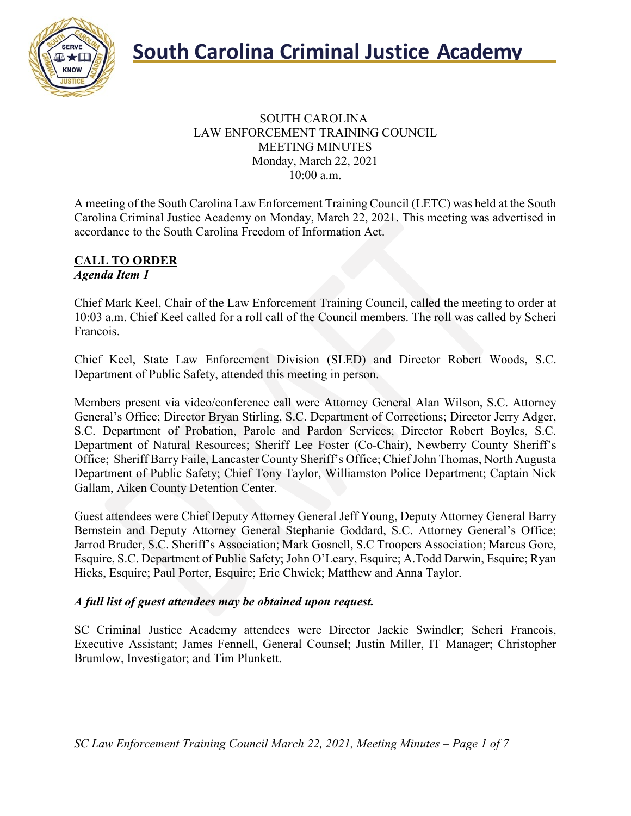

#### SOUTH CAROLINA LAW ENFORCEMENT TRAINING COUNCIL MEETING MINUTES Monday, March 22, 2021 10:00 a.m.

A meeting of the South Carolina Law Enforcement Training Council (LETC) was held at the South Carolina Criminal Justice Academy on Monday, March 22, 2021. This meeting was advertised in accordance to the South Carolina Freedom of Information Act.

#### **CALL TO ORDER** *Agenda Item 1*

Chief Mark Keel, Chair of the Law Enforcement Training Council, called the meeting to order at 10:03 a.m. Chief Keel called for a roll call of the Council members. The roll was called by Scheri Francois.

Chief Keel, State Law Enforcement Division (SLED) and Director Robert Woods, S.C. Department of Public Safety, attended this meeting in person.

Members present via video/conference call were Attorney General Alan Wilson, S.C. Attorney General's Office; Director Bryan Stirling, S.C. Department of Corrections; Director Jerry Adger, S.C. Department of Probation, Parole and Pardon Services; Director Robert Boyles, S.C. Department of Natural Resources; Sheriff Lee Foster (Co-Chair), Newberry County Sheriff's Office; Sheriff Barry Faile, Lancaster County Sheriff's Office; ChiefJohn Thomas, North Augusta Department of Public Safety; Chief Tony Taylor, Williamston Police Department; Captain Nick Gallam, Aiken County Detention Center.

Guest attendees were Chief Deputy Attorney General Jeff Young, Deputy Attorney General Barry Bernstein and Deputy Attorney General Stephanie Goddard, S.C. Attorney General's Office; Jarrod Bruder, S.C. Sheriff's Association; Mark Gosnell, S.C Troopers Association; Marcus Gore, Esquire, S.C. Department of Public Safety; John O'Leary, Esquire; A.Todd Darwin, Esquire; Ryan Hicks, Esquire; Paul Porter, Esquire; Eric Chwick; Matthew and Anna Taylor.

### *A full list of guest attendees may be obtained upon request.*

SC Criminal Justice Academy attendees were Director Jackie Swindler; Scheri Francois, Executive Assistant; James Fennell, General Counsel; Justin Miller, IT Manager; Christopher Brumlow, Investigator; and Tim Plunkett.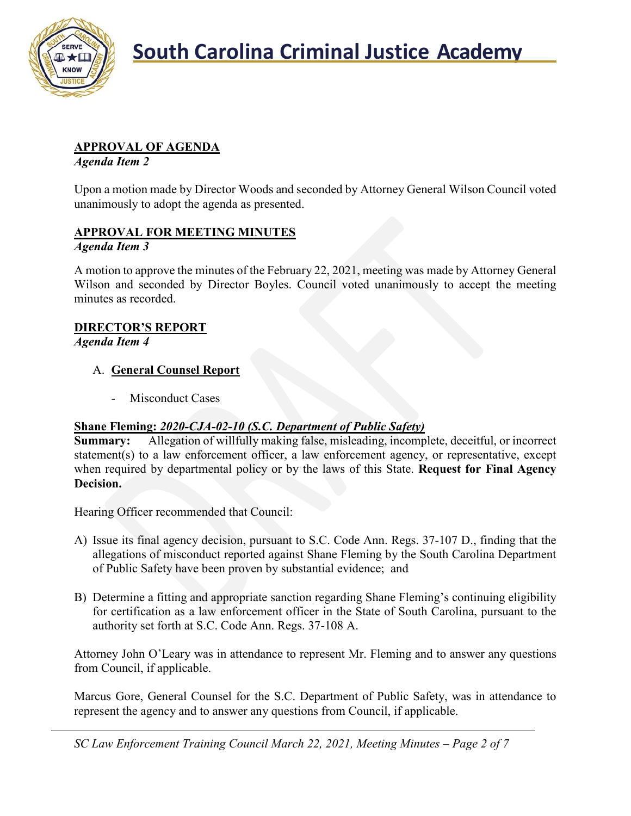

### **APPROVAL OF AGENDA**

*Agenda Item 2*

Upon a motion made by Director Woods and seconded by Attorney General Wilson Council voted unanimously to adopt the agenda as presented.

### **APPROVAL FOR MEETING MINUTES**

### *Agenda Item 3*

A motion to approve the minutes of the February 22, 2021, meeting was made by Attorney General Wilson and seconded by Director Boyles. Council voted unanimously to accept the meeting minutes as recorded.

### **DIRECTOR'S REPORT**

*Agenda Item 4*

### A. **General Counsel Report**

- Misconduct Cases

### **Shane Fleming:** *2020-CJA-02-10 (S.C. Department of Public Safety)*

**Summary:** Allegation of willfully making false, misleading, incomplete, deceitful, or incorrect statement(s) to a law enforcement officer, a law enforcement agency, or representative, except when required by departmental policy or by the laws of this State. **Request for Final Agency Decision.**

Hearing Officer recommended that Council:

- A) Issue its final agency decision, pursuant to S.C. Code Ann. Regs. 37-107 D., finding that the allegations of misconduct reported against Shane Fleming by the South Carolina Department of Public Safety have been proven by substantial evidence; and
- B) Determine a fitting and appropriate sanction regarding Shane Fleming's continuing eligibility for certification as a law enforcement officer in the State of South Carolina, pursuant to the authority set forth at S.C. Code Ann. Regs. 37-108 A.

Attorney John O'Leary was in attendance to represent Mr. Fleming and to answer any questions from Council, if applicable.

Marcus Gore, General Counsel for the S.C. Department of Public Safety, was in attendance to represent the agency and to answer any questions from Council, if applicable.

*SC Law Enforcement Training Council March 22, 2021, Meeting Minutes – Page 2 of 7*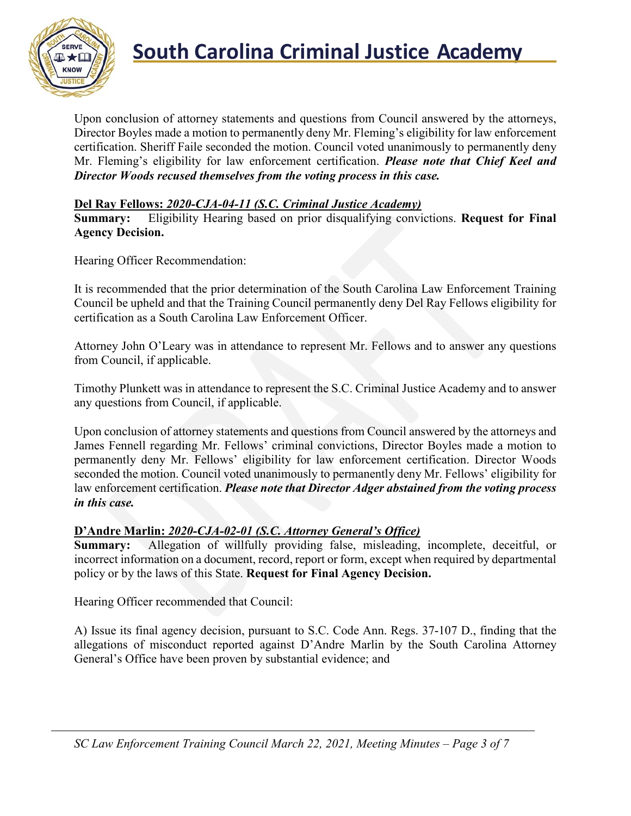

Upon conclusion of attorney statements and questions from Council answered by the attorneys, Director Boyles made a motion to permanently deny Mr. Fleming's eligibility for law enforcement certification. Sheriff Faile seconded the motion. Council voted unanimously to permanently deny Mr. Fleming's eligibility for law enforcement certification. *Please note that Chief Keel and Director Woods recused themselves from the voting process in this case.*

### **Del Ray Fellows:** *2020-CJA-04-11 (S.C. Criminal Justice Academy)*

**Summary:** Eligibility Hearing based on prior disqualifying convictions. **Request for Final Agency Decision.**

Hearing Officer Recommendation:

It is recommended that the prior determination of the South Carolina Law Enforcement Training Council be upheld and that the Training Council permanently deny Del Ray Fellows eligibility for certification as a South Carolina Law Enforcement Officer.

Attorney John O'Leary was in attendance to represent Mr. Fellows and to answer any questions from Council, if applicable.

Timothy Plunkett was in attendance to represent the S.C. Criminal Justice Academy and to answer any questions from Council, if applicable.

Upon conclusion of attorney statements and questions from Council answered by the attorneys and James Fennell regarding Mr. Fellows' criminal convictions, Director Boyles made a motion to permanently deny Mr. Fellows' eligibility for law enforcement certification. Director Woods seconded the motion. Council voted unanimously to permanently deny Mr. Fellows' eligibility for law enforcement certification. *Please note that Director Adger abstained from the voting process in this case.*

### **D'Andre Marlin:** *2020-CJA-02-01 (S.C. Attorney General's Office)*

**Summary:** Allegation of willfully providing false, misleading, incomplete, deceitful, or incorrect information on a document, record, report or form, except when required by departmental policy or by the laws of this State. **Request for Final Agency Decision.**

Hearing Officer recommended that Council:

A) Issue its final agency decision, pursuant to S.C. Code Ann. Regs. 37-107 D., finding that the allegations of misconduct reported against D'Andre Marlin by the South Carolina Attorney General's Office have been proven by substantial evidence; and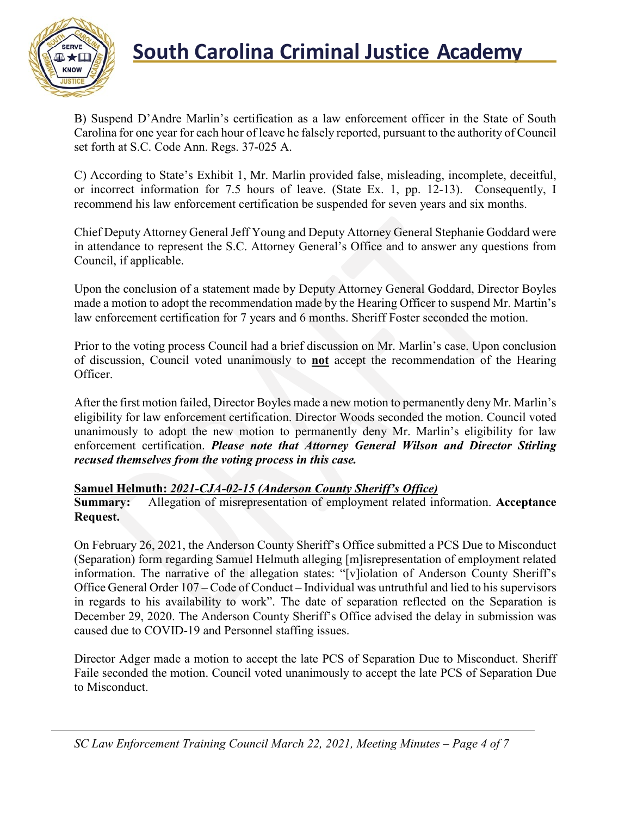

B) Suspend D'Andre Marlin's certification as a law enforcement officer in the State of South Carolina for one year for each hour of leave he falsely reported, pursuant to the authority of Council set forth at S.C. Code Ann. Regs. 37-025 A.

C) According to State's Exhibit 1, Mr. Marlin provided false, misleading, incomplete, deceitful, or incorrect information for 7.5 hours of leave. (State Ex. 1, pp. 12-13). Consequently, I recommend his law enforcement certification be suspended for seven years and six months.

Chief Deputy Attorney General Jeff Young and Deputy Attorney General Stephanie Goddard were in attendance to represent the S.C. Attorney General's Office and to answer any questions from Council, if applicable.

Upon the conclusion of a statement made by Deputy Attorney General Goddard, Director Boyles made a motion to adopt the recommendation made by the Hearing Officer to suspend Mr. Martin's law enforcement certification for 7 years and 6 months. Sheriff Foster seconded the motion.

Prior to the voting process Council had a brief discussion on Mr. Marlin's case. Upon conclusion of discussion, Council voted unanimously to **not** accept the recommendation of the Hearing Officer.

After the first motion failed, Director Boyles made a new motion to permanently deny Mr. Marlin's eligibility for law enforcement certification. Director Woods seconded the motion. Council voted unanimously to adopt the new motion to permanently deny Mr. Marlin's eligibility for law enforcement certification. *Please note that Attorney General Wilson and Director Stirling recused themselves from the voting process in this case.*

#### **Samuel Helmuth:** *2021-CJA-02-15 (Anderson County Sheriff's Office)*

**Summary:** Allegation of misrepresentation of employment related information. **Acceptance Request.**

On February 26, 2021, the Anderson County Sheriff's Office submitted a PCS Due to Misconduct (Separation) form regarding Samuel Helmuth alleging [m]isrepresentation of employment related information. The narrative of the allegation states: "[v]iolation of Anderson County Sheriff's Office General Order 107 – Code of Conduct – Individual was untruthful and lied to his supervisors in regards to his availability to work". The date of separation reflected on the Separation is December 29, 2020. The Anderson County Sheriff's Office advised the delay in submission was caused due to COVID-19 and Personnel staffing issues.

Director Adger made a motion to accept the late PCS of Separation Due to Misconduct. Sheriff Faile seconded the motion. Council voted unanimously to accept the late PCS of Separation Due to Misconduct.

*SC Law Enforcement Training Council March 22, 2021, Meeting Minutes – Page 4 of 7*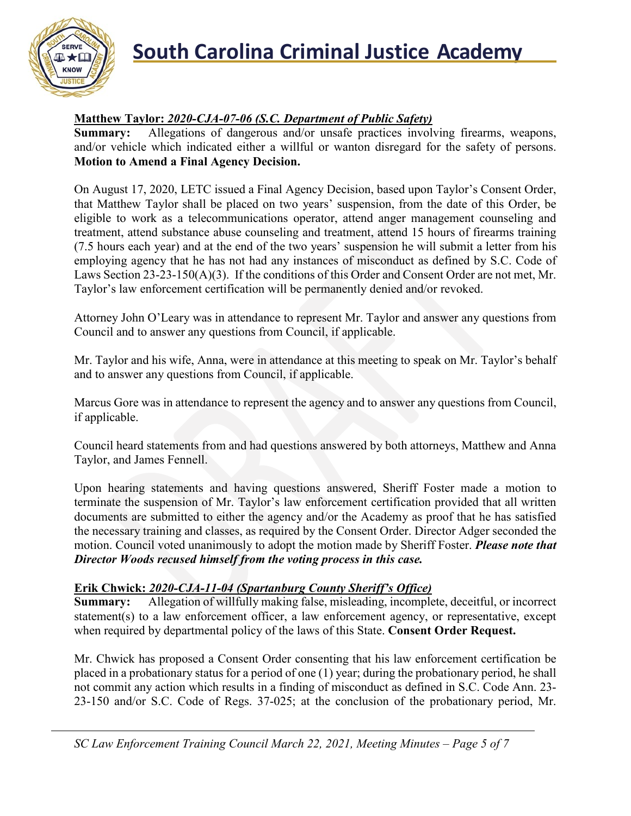

### **Matthew Taylor:** *2020-CJA-07-06 (S.C. Department of Public Safety)*

**Summary:** Allegations of dangerous and/or unsafe practices involving firearms, weapons, and/or vehicle which indicated either a willful or wanton disregard for the safety of persons. **Motion to Amend a Final Agency Decision.**

On August 17, 2020, LETC issued a Final Agency Decision, based upon Taylor's Consent Order, that Matthew Taylor shall be placed on two years' suspension, from the date of this Order, be eligible to work as a telecommunications operator, attend anger management counseling and treatment, attend substance abuse counseling and treatment, attend 15 hours of firearms training (7.5 hours each year) and at the end of the two years' suspension he will submit a letter from his employing agency that he has not had any instances of misconduct as defined by S.C. Code of Laws Section 23-23-150(A)(3). If the conditions of this Order and Consent Order are not met, Mr. Taylor's law enforcement certification will be permanently denied and/or revoked.

Attorney John O'Leary was in attendance to represent Mr. Taylor and answer any questions from Council and to answer any questions from Council, if applicable.

Mr. Taylor and his wife, Anna, were in attendance at this meeting to speak on Mr. Taylor's behalf and to answer any questions from Council, if applicable.

Marcus Gore was in attendance to represent the agency and to answer any questions from Council, if applicable.

Council heard statements from and had questions answered by both attorneys, Matthew and Anna Taylor, and James Fennell.

Upon hearing statements and having questions answered, Sheriff Foster made a motion to terminate the suspension of Mr. Taylor's law enforcement certification provided that all written documents are submitted to either the agency and/or the Academy as proof that he has satisfied the necessary training and classes, as required by the Consent Order. Director Adger seconded the motion. Council voted unanimously to adopt the motion made by Sheriff Foster. *Please note that Director Woods recused himself from the voting process in this case.*

### **Erik Chwick:** *2020-CJA-11-04 (Spartanburg County Sheriff's Office)*

**Summary:** Allegation of willfully making false, misleading, incomplete, deceitful, or incorrect statement(s) to a law enforcement officer, a law enforcement agency, or representative, except when required by departmental policy of the laws of this State. **Consent Order Request.**

Mr. Chwick has proposed a Consent Order consenting that his law enforcement certification be placed in a probationary status for a period of one (1) year; during the probationary period, he shall not commit any action which results in a finding of misconduct as defined in S.C. Code Ann. 23- 23-150 and/or S.C. Code of Regs. 37-025; at the conclusion of the probationary period, Mr.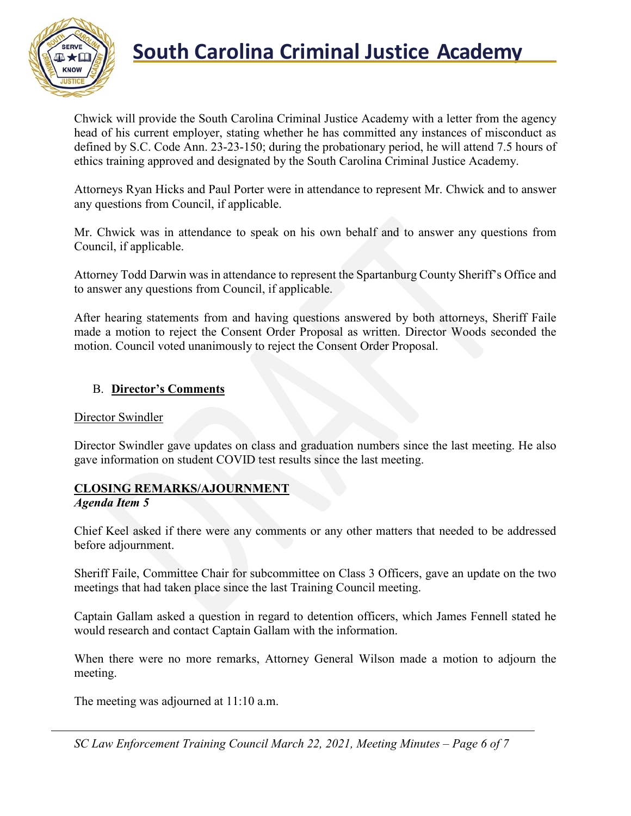

Chwick will provide the South Carolina Criminal Justice Academy with a letter from the agency head of his current employer, stating whether he has committed any instances of misconduct as defined by S.C. Code Ann. 23-23-150; during the probationary period, he will attend 7.5 hours of ethics training approved and designated by the South Carolina Criminal Justice Academy.

Attorneys Ryan Hicks and Paul Porter were in attendance to represent Mr. Chwick and to answer any questions from Council, if applicable.

Mr. Chwick was in attendance to speak on his own behalf and to answer any questions from Council, if applicable.

Attorney Todd Darwin was in attendance to represent the Spartanburg County Sheriff's Office and to answer any questions from Council, if applicable.

After hearing statements from and having questions answered by both attorneys, Sheriff Faile made a motion to reject the Consent Order Proposal as written. Director Woods seconded the motion. Council voted unanimously to reject the Consent Order Proposal.

### B. **Director's Comments**

#### Director Swindler

Director Swindler gave updates on class and graduation numbers since the last meeting. He also gave information on student COVID test results since the last meeting.

### **CLOSING REMARKS/AJOURNMENT**

#### *Agenda Item 5*

Chief Keel asked if there were any comments or any other matters that needed to be addressed before adjournment.

Sheriff Faile, Committee Chair for subcommittee on Class 3 Officers, gave an update on the two meetings that had taken place since the last Training Council meeting.

Captain Gallam asked a question in regard to detention officers, which James Fennell stated he would research and contact Captain Gallam with the information.

When there were no more remarks, Attorney General Wilson made a motion to adjourn the meeting.

The meeting was adjourned at 11:10 a.m.

*SC Law Enforcement Training Council March 22, 2021, Meeting Minutes – Page 6 of 7*